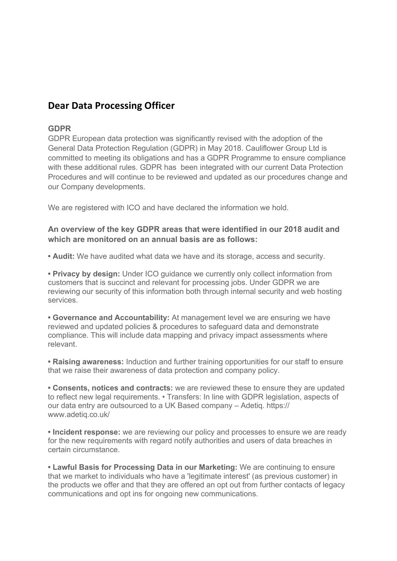# **Dear Data Processing Officer**

# **GDPR**

GDPR European data protection was significantly revised with the adoption of the General Data Protection Regulation (GDPR) in May 2018. Cauliflower Group Ltd is committed to meeting its obligations and has a GDPR Programme to ensure compliance with these additional rules. GDPR has been integrated with our current Data Protection Procedures and will continue to be reviewed and updated as our procedures change and our Company developments.

We are registered with ICO and have declared the information we hold.

# **An overview of the key GDPR areas that were identified in our 2018 audit and which are monitored on an annual basis are as follows:**

**• Audit:** We have audited what data we have and its storage, access and security.

**• Privacy by design:** Under ICO guidance we currently only collect information from customers that is succinct and relevant for processing jobs. Under GDPR we are reviewing our security of this information both through internal security and web hosting services.

**• Governance and Accountability:** At management level we are ensuring we have reviewed and updated policies & procedures to safeguard data and demonstrate compliance. This will include d[ata mapping and privacy i](https://www.adetiq.co.uk/)mpact assessments where relevant.

**• Raising awareness:** Induction and further training opportunities for our staff to ensure that we raise their awareness of data protection and company policy.

**• Consents, notices and contracts:** we are reviewed these to ensure they are updated to reflect new legal requirements. • Transfers: In line with GDPR legislation, aspects of our data entry are outsourced to a UK Based company – Adetiq. https:// www.adetiq.co.uk/

**• Incident response:** we are reviewing our policy and processes to ensure we are ready for the new requirements with regard notify authorities and users of data breaches in certain circumstance.

**• Lawful Basis for Processing Data in our Marketing:** We are continuing to ensure that we market to individuals who have a 'legitimate interest' (as previous customer) in the products we offer and that they are offered an opt out from further contacts of legacy communications and opt ins for ongoing new communications.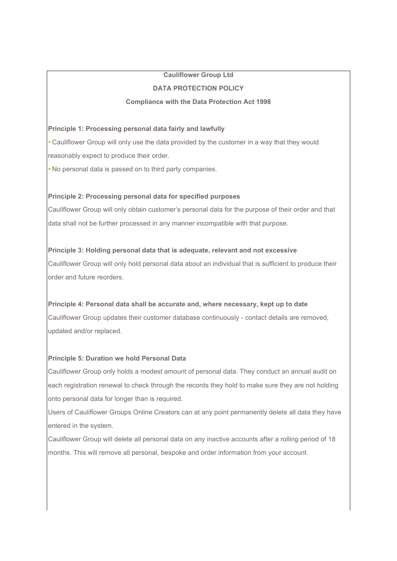# **Cauliflower Group Ltd**

# **DATA PROTECTION POLICY**

# **Compliance with the Data Protection Act 1998**

# **Principle 1: Processing personal data fairly and lawfully**

*•* Cauliflower Group will only use the data provided by the customer in a way that they would reasonably expect to produce their order.

*•* No personal data is passed on to third party companies.

# **Principle 2: Processing personal data for specified purposes**

Cauliflower Group will only obtain customer's personal data for the purpose of their order and that data shall not be further processed in any manner incompatible with that purpose.

# **Principle 3: Holding personal data that is adequate, relevant and not excessive**

Cauliflower Group will only hold personal data about an individual that is sufficient to produce their order and future reorders.

# **Principle 4: Personal data shall be accurate and, where necessary, kept up to date**

Cauliflower Group updates their customer database continuously - contact details are removed, updated and/or replaced.

# **Principle 5: Duration we hold Personal Data**

Cauliflower Group only holds a modest amount of personal data. They conduct an annual audit on each registration renewal to check through the records they hold to make sure they are not holding onto personal data for longer than is required.

Users of Cauliflower Groups Online Creators can at any point permanently delete all data they have entered in the system.

Cauliflower Group will delete all personal data on any inactive accounts after a rolling period of 18 months. This will remove all personal, bespoke and order information from your account.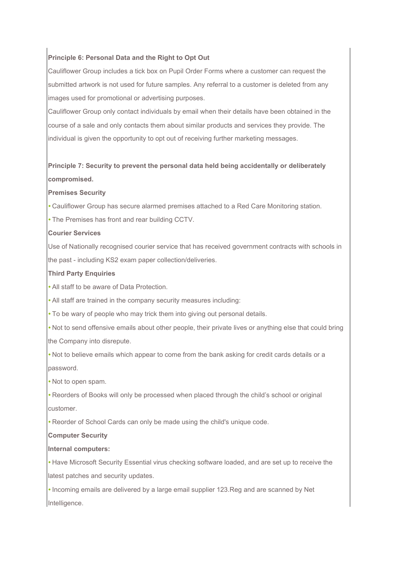# **Principle 6: Personal Data and the Right to Opt Out**

Cauliflower Group includes a tick box on Pupil Order Forms where a customer can request the submitted artwork is not used for future samples. Any referral to a customer is deleted from any images used for promotional or advertising purposes.

Cauliflower Group only contact individuals by email when their details have been obtained in the course of a sale and only contacts them about similar products and services they provide. The individual is given the opportunity to opt out of receiving further marketing messages.

# **Principle 7: Security to prevent the personal data held being accidentally or deliberately compromised.**

#### **Premises Security**

*•* Cauliflower Group has secure alarmed premises attached to a Red Care Monitoring station.

*•* The Premises has front and rear building CCTV.

#### **Courier Services**

Use of Nationally recognised courier service that has received government contracts with schools in the past - including KS2 exam paper collection/deliveries.

#### **Third Party Enquiries**

*•* All staff to be aware of Data Protection.

*•* All staff are trained in the company security measures including:

*•* To be wary of people who may trick them into giving out personal details.

• Not to send offensive emails about other people, their private lives or anything else that could bring the Company into disrepute.

*•* Not to believe emails which appear to come from the bank asking for credit cards details or a password.

*•* Not to open spam.

*•* Reorders of Books will only be processed when placed through the child's school or original customer.

*•* Reorder of School Cards can only be made using the child's unique code.

#### **Computer Security**

#### **Internal computers:**

*•* Have Microsoft Security Essential virus checking software loaded, and are set up to receive the latest patches and security updates.

*•* Incoming emails are delivered by a large email supplier 123.Reg and are scanned by Net Intelligence.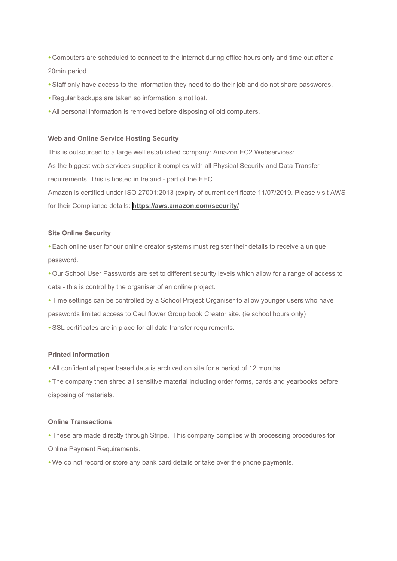*•* Computers are scheduled to connect to the internet during office hours only and time out after a 20min period.

*•* Staff only have access to the information they need to do their job and do not share passwords.

*•* Regular backups are taken so information is not lost.

*•* All personal information is removed before disposing of old computers.

# **Web and Online Service Hosting Security**

This is outsourced to a large well established company: Amazon EC2 Webservices:

As the biggest web services supplier it complies with all Physical Security and Data Transfer requirements. This is hosted in Ireland - part of the EEC.

Amazon is certified under ISO 27001:2013 (expiry of current certificate 11/07/2019. Please visit AWS for their Compliance details: **<https://aws.amazon.com/security/>**

# **Site Online Security**

*•* Each online user for our online creator systems must register their details to receive a unique password.

*•* Our School User Passwords are set to different security levels which allow for a range of access to data - this is control by the organiser of an online project.

*•* Time settings can be controlled by a School Project Organiser to allow younger users who have

passwords limited access to Cauliflower Group book Creator site. (ie school hours only)

• SSL certificates are in place for all data transfer requirements.

# **Printed Information**

*•* All confidential paper based data is archived on site for a period of 12 months.

*•* The company then shred all sensitive material including order forms, cards and yearbooks before disposing of materials.

#### **Online Transactions**

*•* These are made directly through Stripe. This company complies with processing procedures for Online Payment Requirements.

*•* We do not record or store any bank card details or take over the phone payments.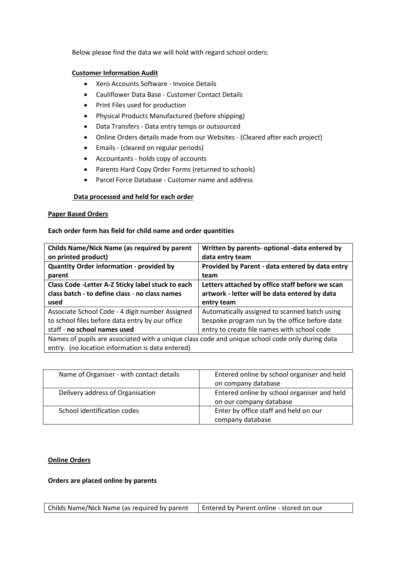Below please find the data we will hold with regard school orders:

### **Customer Information Audit**

- Xero Accounts Software Invoice Details
- Cauliflower Data Base Customer Contact Details
- Print Files used for production
- Physical Products Manufactured (before shipping)
- Data Transfers Data entry temps or outsourced
- Online Orders details made from our Websites (Cleared after each project)
- Emails (cleared on regular periods)
- Accountants holds copy of accounts
- Parents Hard Copy Order Forms (returned to schools)
- Parcel Force Database Customer name and address

# **Data processed and held for each order**

#### **Paper Based Orders**

# **Each order form has field for child name and order quantities**

| <b>Childs Name/Nick Name (as required by parent</b><br>on printed product)                           | Written by parents- optional -data entered by<br>data entry team                                 |
|------------------------------------------------------------------------------------------------------|--------------------------------------------------------------------------------------------------|
| <b>Quantity Order information - provided by</b><br>parent                                            | Provided by Parent - data entered by data entry<br>team                                          |
| Class Code - Letter A-Z Sticky label stuck to each<br>class batch - to define class - no class names | Letters attached by office staff before we scan<br>artwork - letter will be data entered by data |
| used                                                                                                 | entry team                                                                                       |
| Associate School Code - 4 digit number Assigned                                                      | Automatically assigned to scanned batch using                                                    |
| to school files before data entry by our office                                                      | bespoke program run by the office before date                                                    |
| staff - no school names used                                                                         | entry to create file names with school code                                                      |
| Names of pupils are associated with a unique class code and unique school code only during data      |                                                                                                  |
| entry. (no location information is data entered)                                                     |                                                                                                  |

| Name of Organiser - with contact details | Entered online by school organiser and held |
|------------------------------------------|---------------------------------------------|
|                                          | on company database                         |
| Delivery address of Organisation         | Entered online by school organiser and held |
|                                          | on our company database                     |
| School identification codes              | Enter by office staff and held on our       |
|                                          | company database                            |

# **Online Orders**

#### **Orders are placed online by parents**